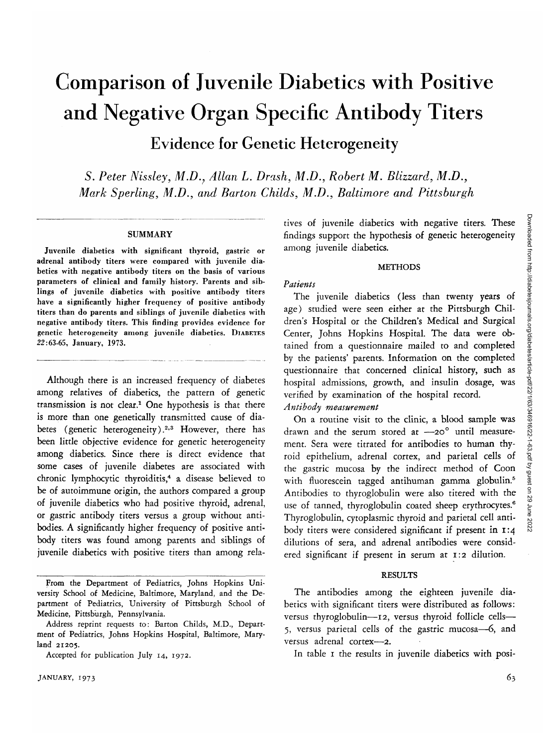# Comparison of Juvenile Diabetics with Positive and Negative Organ Specific Antibody Titers Evidence for Genetic Heterogeneity

*S. Peter Nissley, M.D., Allan L. Drash, M.D., Robert M. Blizzard, M.D., Mark Sperling, M.D., and Barton Childs, M.D., Baltimore and Pittsburgh*

### **SUMMARY**

Juvenile diabetics with significant thyroid, gastric or adrenal antibody titers were compared with juvenile diabetics with negative antibody titers on the basis of various parameters of clinical and family history. Parents and siblings of juvenile diabetics with positive antibody titers have a significantly higher frequency of positive antibody titers than do parents and siblings of juvenile diabetics with negative antibody titers. This finding provides evidence for genetic heterogeneity among juvenile diabetics. DIABETES 22:63-65, January, 1973.

Although there is an increased frequency of diabetes among relatives of diabetics, the pattern of genetic transmission is not clear.<sup>1</sup> One hypothesis is that there is more than one genetically transmitted cause of diabetes (genetic heterogeneity).<sup>2,3</sup> However, there has been little objective evidence for genetic heterogeneity among diabetics. Since there is direct evidence that some cases of juvenile diabetes are associated with chronic lymphocytic thyroiditis,4 a disease believed to be of autoimmune origin, the authors compared a group of juvenile diabetics who had positive thyroid, adrenal, or gastric antibody titers versus a group without antibodies. A significantly higher frequency of positive antibody titers was found among parents and siblings of juvenile diabetics with positive titers than among relatives of juvenile diabetics with negative titers. These findings support the hypothesis of genetic heterogeneity among juvenile diabetics.

#### **METHODS**

# *Patients*

The juvenile diabetics (less than twenty years of age) studied were seen either at the Pittsburgh Children's Hospital or the Children's Medical and Surgical Center, Johns Hopkins Hospital. The data were obtained from a questionnaire mailed to and completed by the patients' parents. Information on the completed questionnaire that concerned clinical history, such as hospital admissions, growth, and insulin dosage, was verified by examination of the hospital record. *Antibody measurement*

On a routine visit to the clinic, a blood sample was drawn and the serum stored at -20° until measurement. Sera were titrated for antibodies to human thyroid epithelium, adrenal cortex, and parietal cells of the gastric mucosa by the indirect method of Coon with fluorescein tagged antihuman gamma globulin.<sup>5</sup> Antibodies to thyroglobulin were also titered with the use of tanned, thyroglobulin coated sheep erythrocytes.<sup>6</sup> Thyroglobulin, cytoplasmic thyroid and parietal cell antibody titers were considered significant if present in 1:4 dilutions of sera, and adrenal antibodies were considered significant if present in serum at 1:2 dilution.

# RESULTS

The antibodies among the eighteen juvenile diabetics with significant titers were distributed as follows: versus thyroglobulin—12, versus thyroid follicle cells— 5, versus parietal cells of the gastric mucosa—6, and versus adrenal cortex—2.

In table 1 the results in juvenile diabetics with posi-

From the Department of Pediatrics, Johns Hopkins University School of Medicine, Baltimore, Maryland, and the Department of Pediatrics, University of Pittsburgh School of Medicine, Pittsburgh, Pennsylvania.

Address reprint requests to: Barton Childs, M.D., Department of Pediatrics, Johns Hopkins Hospital, Baltimore, Maryland 21205.

Accepted for publication July 14, 1972.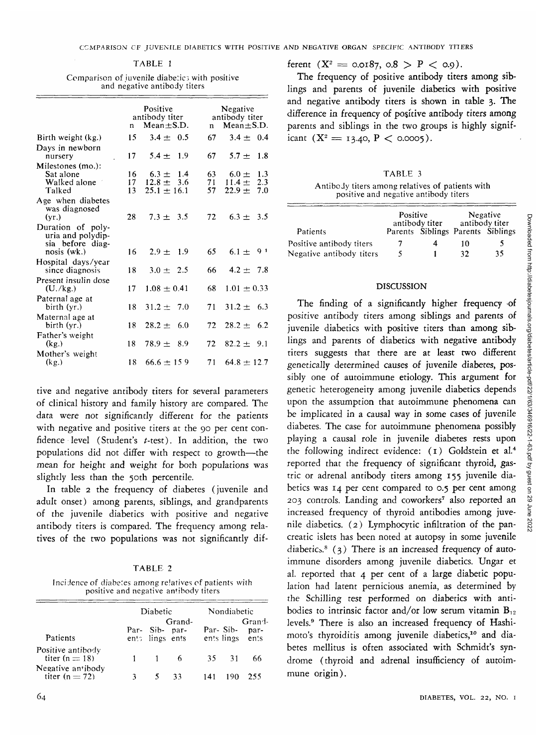|                                             | n.       | Positive<br>antibody titer<br>$Mean + S.D.$ | Negative<br>antibody titer<br>$Mean + S.D.$<br>$\mathbf{n}$ |                                    |  |
|---------------------------------------------|----------|---------------------------------------------|-------------------------------------------------------------|------------------------------------|--|
| Birth weight (kg.)                          | 15       | $3.4 \pm 0.5$                               | 67                                                          | $3.4 \pm 0.4$                      |  |
| Days in newborn                             |          |                                             |                                                             |                                    |  |
| nursery                                     | 17       | $5.4 \pm 1.9$                               | 67 -                                                        | $5.7 + 1.8$                        |  |
| Milestones (mo.):                           |          |                                             |                                                             |                                    |  |
| Sat alone<br>Walked alone                   | 16<br>17 | $6.3 \pm 1.4$<br>$12.8 \pm 3.6$             | 63.<br>71                                                   | $6.0 \pm 1.3$<br>2.3<br>$11.4 \pm$ |  |
| Talked                                      | 13       | $25.1 \pm 16.1$                             | 57                                                          | 7.0<br>$22.9 +$                    |  |
| Age when diabetes<br>was diagnosed<br>(vr.) | 28       | $7.3 \pm 3.5$                               | 72                                                          | $6.3 + 3.5$                        |  |
| Duration of poly-<br>uria and polydip-      |          |                                             |                                                             |                                    |  |
| sia before diag-<br>nosis (wk.)             | 16       | $2.9 + 1.9$                                 | 65                                                          | $6.1 + 9.1$                        |  |
| Hospital days/year<br>since diagnosis       | 18       | $3.0 + 2.5$                                 | 66 -                                                        | $4.2 \pm 7.8$                      |  |
| Present insulin dose<br>(U./kg.)            | 17       | $1.08 \pm 0.41$                             | 68                                                          | $1.01 \pm 0.33$                    |  |
| Paternal age at<br>birth (yr.)              | 18       | $31.2 \pm 7.0$                              | 71                                                          | $31.2 \pm 6.3$                     |  |
| Maternal age at<br>birth (yr.)              | 18       | $28.2 \pm 6.0$                              | 72                                                          | $28.2 \pm 6.2$                     |  |
| Father's weight<br>(kg)                     | 18       | $78.9 \pm 8.9$                              | 72                                                          | $82.2 \pm 9.1$                     |  |
| Mother's weight<br>(kg)                     | 18       | $66.6 \pm 159$                              | 71                                                          | $64.8 \pm 12.7$                    |  |
|                                             |          |                                             |                                                             |                                    |  |

| TABLE 1 |  |  |
|---------|--|--|
|         |  |  |

Comparison of juvenile diabetics with positive and negative antibody titers

tive and negative antibody titers for several parameters of clinical history and family history are compared. The data were not significantly different for the patients with negative and positive titers at the 90 per cent confidence level (Student's *t-test).* In addition, the two populations did not differ with respect to growth—the mean for height and weight for both populations was slightly less than the 50th percentile.

In table 2 the frequency of diabetes (juvenile and adult onset) among parents, siblings, and grandparents of the juvenile diabetics with positive and negative antibody titers is compared. The frequency among relatives of the two populations was not significantly dif-

| n |
|---|
|---|

Incidence of diabetes among relatives of patients with positive and negative antibody titers

|                                       | Diabetic |                                   |                | Nondiabetic |       |                                            |
|---------------------------------------|----------|-----------------------------------|----------------|-------------|-------|--------------------------------------------|
| Patients                              |          | Par- Sib- par-<br>ents lings ents | Grand-         |             |       | Grand-<br>Par-Sib- par-<br>ents lings ents |
| Positive antibody<br>titer $(n = 18)$ |          |                                   | 6 <sup>6</sup> |             | 35 31 | 66                                         |
| Negative antibody<br>titer $(n = 72)$ |          |                                   | -33            | 141         |       | 255                                        |

ferent  $(X^2 = 0.0187, 0.8 > P < 0.9)$ .

The frequency of positive antibody titers among siblings and parents of juvenile diabetics with positive and negative antibody titers is shown in table 3. The difference in frequency of positive antibody titers among parents and siblings in the two groups is highly significant  $(X^2 = 13.40, P < 0.0005)$ .

# TABLE 3

Antibody titers among relatives of patients with positive and negative antibody titers

|                          | Positive | antibody titer                    | Negative<br>antibody titer |    |  |
|--------------------------|----------|-----------------------------------|----------------------------|----|--|
| Patients                 |          | Parents Siblings Parents Siblings |                            |    |  |
| Positive antibody titers | 7        |                                   | 10                         |    |  |
| Negative antibody titers | 5        |                                   | 22                         | 35 |  |

## DISCUSSION

The finding of a significantly higher frequency of positive antibody titers among siblings and parents of juvenile diabetics with positive titers than among siblings and parents of diabetics with negative antibody titers suggests that there are at least two different genetically determined causes of juvenile diabetes, possibly one of autoimmune etiology. This argument for genetic heterogeneity among juvenile diabetics depends upon the assumption that autoimmune phenomena can be implicated in a causal way in some cases of juvenile diabetes. The case for autoimmune phenomena possibly playing a causal role in juvenile diabetes rests upon the following indirect evidence: (1) Goldstein et al.4 reported that the frequency of significant thyroid, gastric or adrenal antibody titers among 155 juvenile diabetics was 14 per cent compared to 0.5 per cent among 203 controls. Landing and coworkers7 also reported an increased frequency of thyroid antibodies among juvenile diabetics. (2) Lymphocytic infiltration of the pancreatic islets has been noted at autopsy in some juvenile diabetics.<sup>8</sup> (3) There is an increased frequency of autoimmune disorders among juvenile diabetics. Ungar et al. reported that 4 per cent of a large diabetic population had latent pernicious anemia, as determined by the Schilling test performed on diabetics with antibodies to intrinsic factor and/or low serum vitamin  $B_{12}$ levels.9 There is also an increased frequency of Hashimoto's thyroiditis among juvenile diabetics,<sup>10</sup> and diabetes mellitus is often associated with Schmidt's syndrome (thyroid and adrenal insufficiency of autoimmune origin).